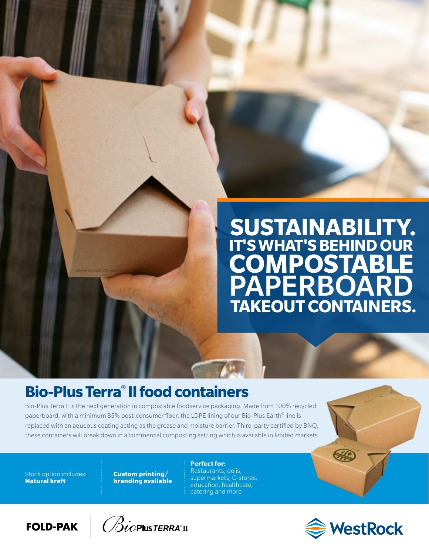# **TAKEOUT CONTAINERS. IT'S WHAT'S BEHIND OUR COMPOSTABLE** PAPERBOARD **SUSTAINABILITY.**

## **Bio-Plus Terra® II food containers**

Bio-Plus Terra II is the next generation in compostable foodservice packaging. Made from 100% recycled paperboard, with a minimum 85% post-consumer fiber, the LDPE lining of our Bio-Plus Earth® line is replaced with an aqueous coating acting as the grease and moisture barrier. Third-party certified by BNQ, these containers will break down in a commercial composting setting which is available in limited markets.

Stock option includes: **Natural kraft**

**Custom printing/ branding available**

#### **Perfect for:**

Restaurants, delis, supermarkets, C-stores, education, healthcare, catering and more